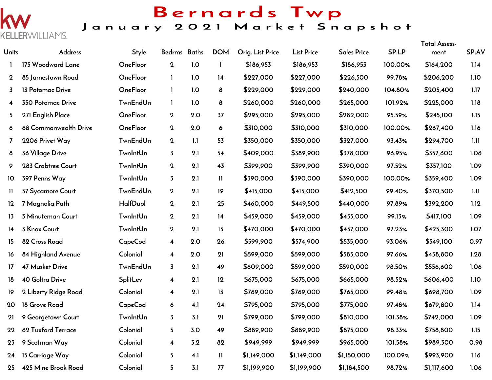

9 Scotman Way

15 Carriage Way

425 Mine Brook Road

23

 $24$ 

25

Colonial

Colonial

Colonial

 $3.2$ 

 $4.1$ 

 $3.1$ 

 $\overline{\mathbf{4}}$ 

 $5\overline{)}$ 

 $5\overline{)}$ 

82

 $\mathbf{I}$ 

77

\$949,999

\$1,149,000

\$1,199,900

\$949,999

\$1,149,000

\$1,199,900

\$965,000

\$1,150,000

\$1,184,500

101.58%

100.09%

98.72%

\$989,300

\$993,900

\$1,117,600

0.98

1.16

1.06

### Bernards Twp January 2021 Market Snapshot

 $T_{\text{shell}}$  Assess

| <b>Units</b>   | Address                  | <b>Style</b>    | Bedrms Baths            |     | <b>DOM</b>   | Orig. List Price | <b>List Price</b> | <b>Sales Price</b> | SP:LP   | <b>TOIGLASSESS-</b><br>ment | SP:AV |
|----------------|--------------------------|-----------------|-------------------------|-----|--------------|------------------|-------------------|--------------------|---------|-----------------------------|-------|
| 1              | 175 Woodward Lane        | OneFloor        | $\mathbf{2}$            | 1.0 |              | \$186,953        | \$186,953         | \$186,953          | 100.00% | \$164,200                   | 1.14  |
| $\mathbf 2$    | 85 Jamestown Road        | OneFloor        | -1                      | 1.0 | 14           | \$227,000        | \$227,000         | \$226,500          | 99.78%  | \$206,200                   | 1.10  |
| 3              | 13 Potomac Drive         | OneFloor        | $\mathbf{I}$            | 1.0 | 8            | \$229,000        | \$229,000         | \$240,000          | 104.80% | \$205,400                   | 1.17  |
| 4              | <b>350 Potomac Drive</b> | <b>TwnEndUn</b> | $\mathbf{1}$            | 1.0 | 8            | \$260,000        | \$260,000         | \$265,000          | 101.92% | \$225,000                   | 1.18  |
| 5.             | 271 English Place        | <b>OneFloor</b> | $\mathbf 2$             | 2.0 | 37           | \$295,000        | \$295,000         | \$282,000          | 95.59%  | \$245,100                   | 1.15  |
| 6              | 68 Commonwealth Drive    | OneFloor        | $\mathbf 2$             | 2.0 | 6            | \$310,000        | \$310,000         | \$310,000          | 100.00% | \$267,400                   | 1.16  |
| $\overline{7}$ | 2206 Privet Way          | <b>TwnEndUn</b> | $\mathbf 2$             | 1.1 | 53           | \$350,000        | \$350,000         | \$327,000          | 93.43%  | \$294,700                   | 1.11  |
| 8              | 36 Village Drive         | <b>TwnIntUn</b> | $\overline{3}$          | 2.1 | 54           | \$409,000        | \$389,900         | \$378,000          | 96.95%  | \$357,600                   | 1.06  |
| 9              | 283 Crabtree Court       | <b>TwnIntUn</b> | $\mathbf{2}$            | 2.1 | 43           | \$399,900        | \$399,900         | \$390,000          | 97.52%  | \$357,100                   | 1.09  |
| 10             | 397 Penns Way            | <b>TwnIntUn</b> | 3                       | 2.1 | $\mathbf{H}$ | \$390,000        | \$390,000         | \$390,000          | 100.00% | \$359,400                   | 1.09  |
| $\mathbf{H}$   | 57 Sycamore Court        | <b>TwnEndUn</b> | $\mathbf 2$             | 2.1 | 19           | \$415,000        | \$415,000         | \$412,500          | 99.40%  | \$370,500                   | 1.11  |
| 12             | 7 Magnolia Path          | HalfDupl        | $\mathbf 2$             | 2.1 | 25           | \$460,000        | \$449,500         | \$440,000          | 97.89%  | \$392,200                   | 1.12  |
| 13             | 3 Minuteman Court        | <b>TwnIntUn</b> | $\mathbf{2}$            | 2.1 | 14           | \$459,000        | \$459,000         | \$455,000          | 99.13%  | \$417,100                   | 1.09  |
| 14             | 3 Knox Court             | <b>TwnIntUn</b> | $\bf{2}$                | 2.1 | 15           | \$470,000        | \$470,000         | \$457,000          | 97.23%  | \$425,300                   | 1.07  |
| 15             | 82 Cross Road            | CapeCod         | $\overline{\mathbf{4}}$ | 2.0 | 26           | \$599,900        | \$574,900         | \$535,000          | 93.06%  | \$549,100                   | 0.97  |
| 16             | 84 Highland Avenue       | Colonial        | $\overline{\mathbf{4}}$ | 2.0 | 21           | \$599,000        | \$599,000         | \$585,000          | 97.66%  | \$458,800                   | 1.28  |
| 17             | <b>47 Musket Drive</b>   | <b>TwnEndUn</b> | $\overline{3}$          | 2.1 | 49           | \$609,000        | \$599,000         | \$590,000          | 98.50%  | \$556,600                   | 1.06  |
| 18             | <b>40 Goltra Drive</b>   | SplitLev        | $\overline{\mathbf{4}}$ | 2.1 | 12           | \$675,000        | \$675,000         | \$665,000          | 98.52%  | \$606,400                   | 1.10  |
| 19             | 2 Liberty Ridge Road     | Colonial        | $\overline{\mathbf{4}}$ | 2.1 | 13           | \$769,000        | \$769,000         | \$765,000          | 99.48%  | \$698,700                   | 1.09  |
| 20             | 18 Grove Road            | <b>CapeCod</b>  | 6                       | 4.1 | 24           | \$795,000        | \$795,000         | \$775,000          | 97.48%  | \$679,800                   | 1.14  |
| 21             | 9 Georgetown Court       | <b>TwnIntUn</b> | $\overline{3}$          | 3.1 | 21           | \$799,000        | \$799,000         | \$810,000          | 101.38% | \$742,000                   | 1.09  |
| 22             | 62 Tuxford Terrace       | Colonial        | 5                       | 3.0 | 49           | \$889,900        | \$889,900         | \$875,000          | 98.33%  | \$758,800                   | 1.15  |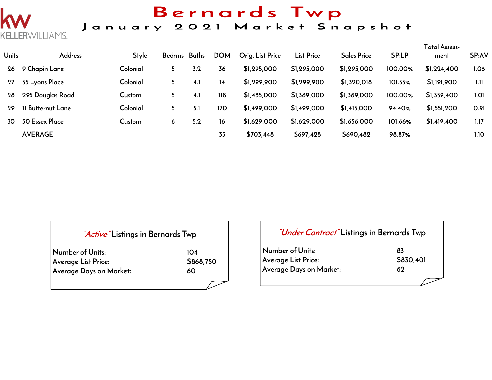## Bernards Twp

#### January 2021 Market Snapshot

| <b>Units</b> | <b>Address</b>    | <b>Style</b> | Bedrms Baths |     | <b>DOM</b> | Orig. List Price | <b>List Price</b> | <b>Sales Price</b> | SP:LP   | Total Assess-<br>ment | SP:AV |
|--------------|-------------------|--------------|--------------|-----|------------|------------------|-------------------|--------------------|---------|-----------------------|-------|
| 26           | 9 Chapin Lane     | Colonial     | 5            | 3.2 | 36         | \$1,295,000      | \$1,295,000       | \$1,295,000        | 100.00% | \$1,224,400           | 1.06  |
| 27           | 55 Lyons Place    | Colonial     | 5            | 4.1 | 14         | \$1,299,900      | \$1,299,900       | \$1,320,018        | 101.55% | \$1,191,900           | 1.11  |
| 28           | 295 Douglas Road  | Custom       | 5            | 4.1 | 118        | \$1,485,000      | \$1,369,000       | \$1,369,000        | 100.00% | \$1,359,400           | 1.01  |
| 29           | 11 Butternut Lane | Colonial     |              | 5.1 | 170        | \$1,499,000      | \$1,499,000       | \$1,415,000        | 94.40%  | \$1,551,200           | 0.91  |
| 30           | 30 Essex Place    | Custom       | 6            | 5.2 | 16         | \$1,629,000      | \$1,629,000       | \$1,656,000        | 101.66% | \$1,419,400           | 1.17  |
|              | <b>AVERAGE</b>    |              |              |     | 35         | \$703,448        | \$697,428         | \$690,482          | 98.87%  |                       | 1.10  |

#### **"Active" Listings in Bernards Twp**

| Number of Units:        | 104       |
|-------------------------|-----------|
| Average List Price:     | \$868,750 |
| Average Days on Market: | 60        |

RWILLIAMS.

#### **"Under Contract" Listings in Bernards Twp**

| Number of Units:        | 83        |
|-------------------------|-----------|
| Average List Price:     | \$830,401 |
| Average Days on Market: | 69        |